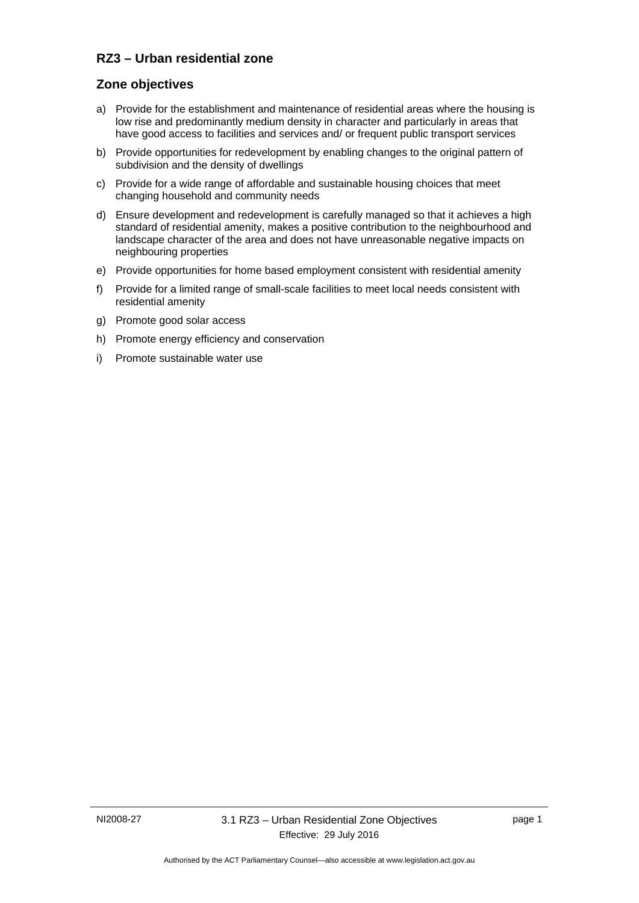## **RZ3 – Urban residential zone**

#### **Zone objectives**

- a) Provide for the establishment and maintenance of residential areas where the housing is low rise and predominantly medium density in character and particularly in areas that have good access to facilities and services and/ or frequent public transport services
- b) Provide opportunities for redevelopment by enabling changes to the original pattern of subdivision and the density of dwellings
- c) Provide for a wide range of affordable and sustainable housing choices that meet changing household and community needs
- d) Ensure development and redevelopment is carefully managed so that it achieves a high standard of residential amenity, makes a positive contribution to the neighbourhood and landscape character of the area and does not have unreasonable negative impacts on neighbouring properties
- e) Provide opportunities for home based employment consistent with residential amenity
- f) Provide for a limited range of small-scale facilities to meet local needs consistent with residential amenity
- g) Promote good solar access
- h) Promote energy efficiency and conservation
- i) Promote sustainable water use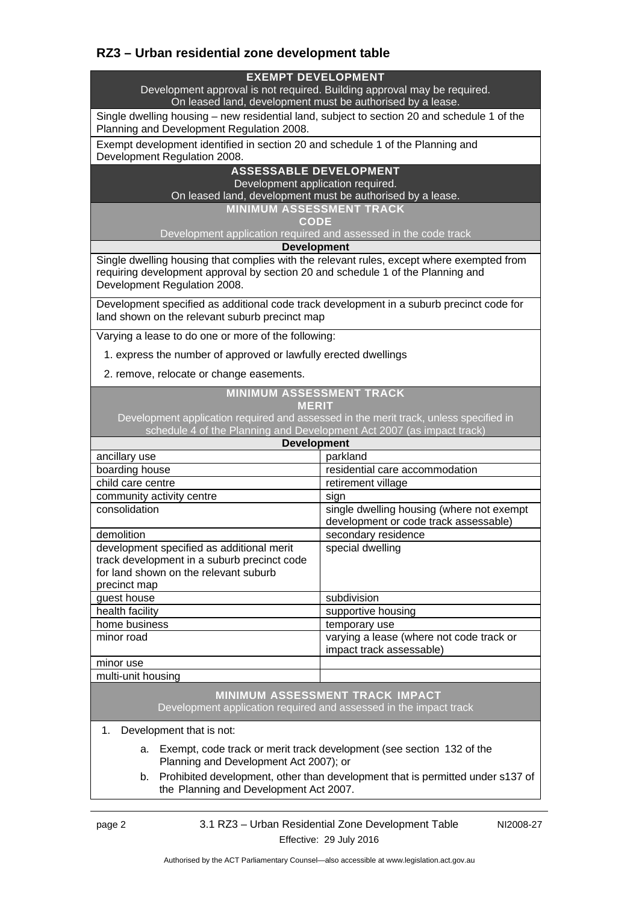# **RZ3 – Urban residential zone development table**

#### **EXEMPT DEVELOPMENT**

Development approval is not required. Building approval may be required. On leased land, development must be authorised by a lease.

Single dwelling housing – new residential land, subject to section 20 and schedule 1 of the Planning and Development Regulation 2008.

Exempt development identified in section 20 and schedule 1 of the Planning and Development Regulation 2008.

#### **ASSESSABLE DEVELOPMENT**

Development application required.

On leased land, development must be authorised by a lease.

**MINIMUM ASSESSMENT TRACK** 

**CODE** 

Development application required and assessed in the code track

**Development**

Single dwelling housing that complies with the relevant rules, except where exempted from requiring development approval by section 20 and schedule 1 of the Planning and Development Regulation 2008.

Development specified as additional code track development in a suburb precinct code for land shown on the relevant suburb precinct map

Varying a lease to do one or more of the following:

1. express the number of approved or lawfully erected dwellings

2. remove, relocate or change easements.

#### **MINIMUM ASSESSMENT TRACK MERIT**

Development application required and assessed in the merit track, unless specified in schedule 4 of the Planning and Development Act 2007 (as impact track)

| <b>Development</b>                                                                                                                                |                                                                                    |
|---------------------------------------------------------------------------------------------------------------------------------------------------|------------------------------------------------------------------------------------|
| ancillary use                                                                                                                                     | parkland                                                                           |
| boarding house                                                                                                                                    | residential care accommodation                                                     |
| child care centre                                                                                                                                 | retirement village                                                                 |
| community activity centre                                                                                                                         | sign                                                                               |
| consolidation                                                                                                                                     | single dwelling housing (where not exempt<br>development or code track assessable) |
| demolition                                                                                                                                        | secondary residence                                                                |
| development specified as additional merit<br>track development in a suburb precinct code<br>for land shown on the relevant suburb<br>precinct map | special dwelling                                                                   |
| guest house                                                                                                                                       | subdivision                                                                        |
| health facility                                                                                                                                   | supportive housing                                                                 |
| home business                                                                                                                                     | temporary use                                                                      |
| minor road                                                                                                                                        | varying a lease (where not code track or<br>impact track assessable)               |
| minor use                                                                                                                                         |                                                                                    |
| multi-unit housing                                                                                                                                |                                                                                    |

#### **MINIMUM ASSESSMENT TRACK IMPACT** Development application required and assessed in the impact track

1. Development that is not:

- a. Exempt, code track or merit track development (see section 132 of the Planning and Development Act 2007); or
- b. Prohibited development, other than development that is permitted under s137 of the Planning and Development Act 2007.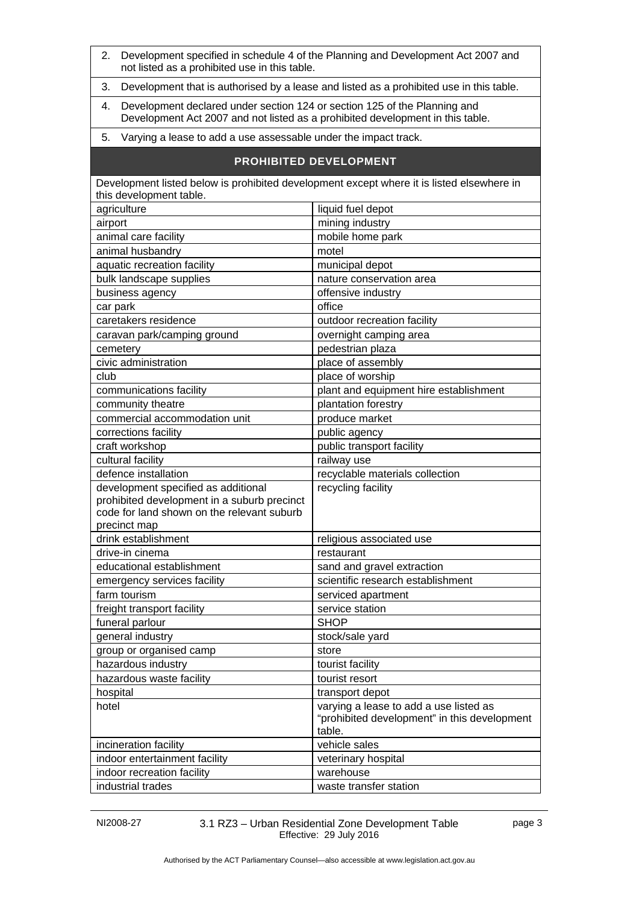| Development specified in schedule 4 of the Planning and Development Act 2007 and<br>2.<br>not listed as a prohibited use in this table.                           |                                                                                                  |  |
|-------------------------------------------------------------------------------------------------------------------------------------------------------------------|--------------------------------------------------------------------------------------------------|--|
| 3.<br>Development that is authorised by a lease and listed as a prohibited use in this table.                                                                     |                                                                                                  |  |
| Development declared under section 124 or section 125 of the Planning and<br>4.<br>Development Act 2007 and not listed as a prohibited development in this table. |                                                                                                  |  |
| 5.<br>Varying a lease to add a use assessable under the impact track.                                                                                             |                                                                                                  |  |
| <b>PROHIBITED DEVELOPMENT</b>                                                                                                                                     |                                                                                                  |  |
| Development listed below is prohibited development except where it is listed elsewhere in<br>this development table.                                              |                                                                                                  |  |
| agriculture                                                                                                                                                       | liquid fuel depot                                                                                |  |
| airport                                                                                                                                                           | mining industry                                                                                  |  |
| animal care facility                                                                                                                                              | mobile home park                                                                                 |  |
| animal husbandry                                                                                                                                                  | motel                                                                                            |  |
| aquatic recreation facility                                                                                                                                       | municipal depot                                                                                  |  |
| bulk landscape supplies                                                                                                                                           | nature conservation area                                                                         |  |
| business agency                                                                                                                                                   | offensive industry                                                                               |  |
| car park                                                                                                                                                          | office                                                                                           |  |
| caretakers residence                                                                                                                                              | outdoor recreation facility                                                                      |  |
| caravan park/camping ground                                                                                                                                       | overnight camping area                                                                           |  |
| cemetery                                                                                                                                                          | pedestrian plaza                                                                                 |  |
| civic administration                                                                                                                                              | place of assembly                                                                                |  |
| club                                                                                                                                                              | place of worship                                                                                 |  |
| communications facility                                                                                                                                           | plant and equipment hire establishment                                                           |  |
| community theatre                                                                                                                                                 | plantation forestry                                                                              |  |
| commercial accommodation unit                                                                                                                                     | produce market                                                                                   |  |
| corrections facility                                                                                                                                              | public agency                                                                                    |  |
| craft workshop                                                                                                                                                    | public transport facility                                                                        |  |
| cultural facility                                                                                                                                                 | railway use                                                                                      |  |
| defence installation                                                                                                                                              | recyclable materials collection                                                                  |  |
| development specified as additional                                                                                                                               | recycling facility                                                                               |  |
| prohibited development in a suburb precinct                                                                                                                       |                                                                                                  |  |
| code for land shown on the relevant suburb                                                                                                                        |                                                                                                  |  |
| precinct map                                                                                                                                                      |                                                                                                  |  |
| drink establishment                                                                                                                                               | religious associated use                                                                         |  |
| drive-in cinema                                                                                                                                                   | restaurant                                                                                       |  |
| educational establishment                                                                                                                                         | sand and gravel extraction                                                                       |  |
| emergency services facility                                                                                                                                       | scientific research establishment                                                                |  |
| farm tourism                                                                                                                                                      | serviced apartment                                                                               |  |
| freight transport facility                                                                                                                                        | service station                                                                                  |  |
| funeral parlour                                                                                                                                                   | <b>SHOP</b>                                                                                      |  |
| general industry                                                                                                                                                  | stock/sale yard                                                                                  |  |
| group or organised camp                                                                                                                                           | store                                                                                            |  |
| hazardous industry                                                                                                                                                | tourist facility                                                                                 |  |
| hazardous waste facility                                                                                                                                          | tourist resort                                                                                   |  |
| hospital                                                                                                                                                          | transport depot                                                                                  |  |
| hotel                                                                                                                                                             | varying a lease to add a use listed as<br>"prohibited development" in this development<br>table. |  |
| incineration facility                                                                                                                                             | vehicle sales                                                                                    |  |
| indoor entertainment facility                                                                                                                                     | veterinary hospital                                                                              |  |
| indoor recreation facility                                                                                                                                        | warehouse                                                                                        |  |
| industrial trades                                                                                                                                                 | waste transfer station                                                                           |  |

NI2008-27 3.1 RZ3 – Urban Residential Zone Development Table Effective: 29 July 2016